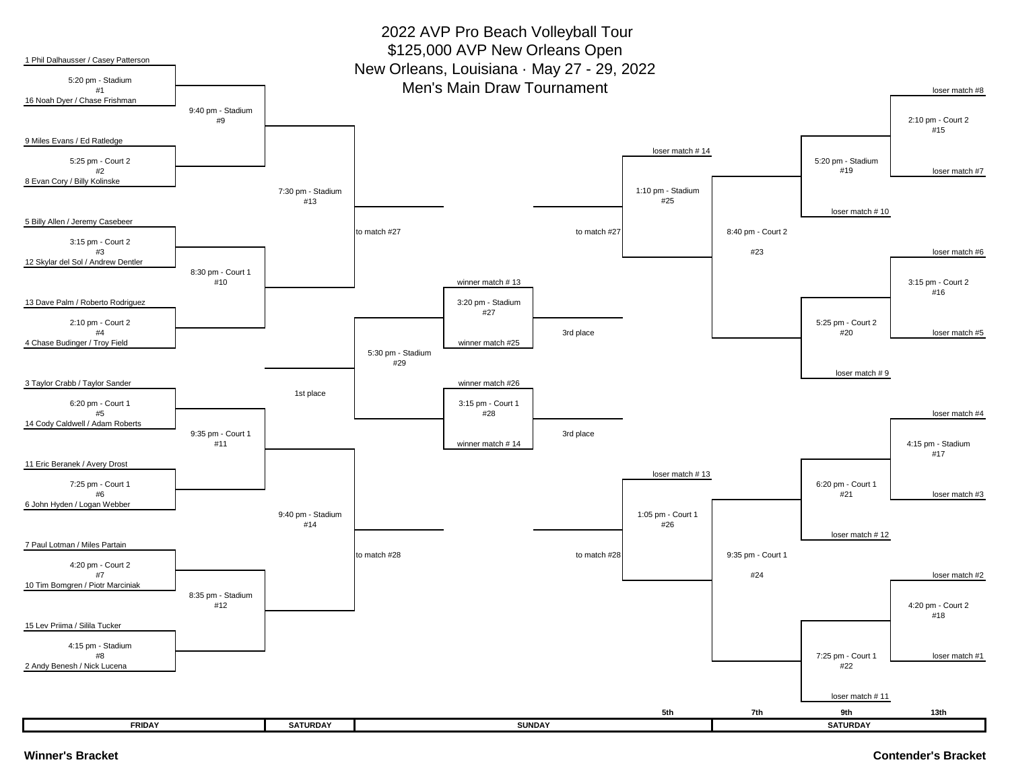